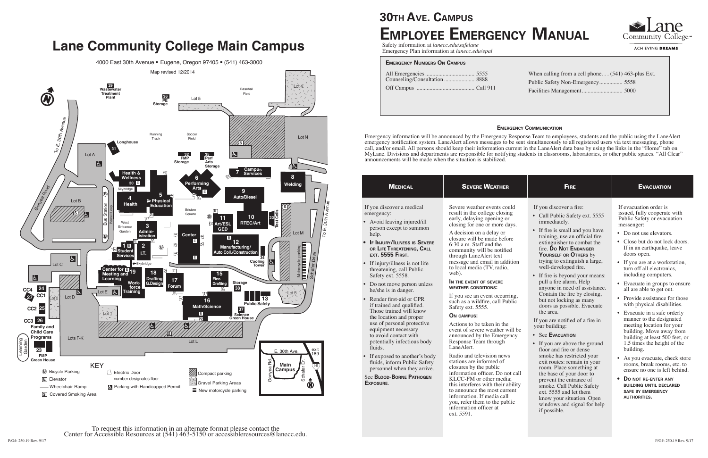| <b>MEDICAL</b>                                                                                                                                                                                                                                                                                                                                                                                                                                                                                                                                                                                                                                                                                                                               | <b>SEVERE WEATHER</b>                                                                                                                                                                                                                                                                                                                                                                                                                                                                                                                                                                                                                                                                                                                                                                                                                                                                                                                                                                           | <b>FIRE</b>                                                                                                                                                                                                                                                                                                                                                                                                                                                                                                                                                                                                                                                                                                                                                                                                                                                                                                           | <b>EVACUATION</b>                                                                                                                                                                                                                                                                                                                                                                                                                                                                                                                                                                                                                                                                                                                                                                                                                                                      |
|----------------------------------------------------------------------------------------------------------------------------------------------------------------------------------------------------------------------------------------------------------------------------------------------------------------------------------------------------------------------------------------------------------------------------------------------------------------------------------------------------------------------------------------------------------------------------------------------------------------------------------------------------------------------------------------------------------------------------------------------|-------------------------------------------------------------------------------------------------------------------------------------------------------------------------------------------------------------------------------------------------------------------------------------------------------------------------------------------------------------------------------------------------------------------------------------------------------------------------------------------------------------------------------------------------------------------------------------------------------------------------------------------------------------------------------------------------------------------------------------------------------------------------------------------------------------------------------------------------------------------------------------------------------------------------------------------------------------------------------------------------|-----------------------------------------------------------------------------------------------------------------------------------------------------------------------------------------------------------------------------------------------------------------------------------------------------------------------------------------------------------------------------------------------------------------------------------------------------------------------------------------------------------------------------------------------------------------------------------------------------------------------------------------------------------------------------------------------------------------------------------------------------------------------------------------------------------------------------------------------------------------------------------------------------------------------|------------------------------------------------------------------------------------------------------------------------------------------------------------------------------------------------------------------------------------------------------------------------------------------------------------------------------------------------------------------------------------------------------------------------------------------------------------------------------------------------------------------------------------------------------------------------------------------------------------------------------------------------------------------------------------------------------------------------------------------------------------------------------------------------------------------------------------------------------------------------|
| If you discover a medical<br>emergency:<br>• Avoid leaving injured/ill<br>person except to summon<br>help.<br><b>IF INJURY/ILLNESS IS SEVERE</b><br>OR LIFE THREATENING, CALL<br><b>EXT. 5555 FIRST.</b><br>• If injury/illness is not life<br>threatening, call Public<br>Safety ext. 5558.<br>• Do not move person unless<br>he/she is in danger.<br>• Render first-aid or CPR<br>if trained and qualified.<br>Those trained will know<br>the location and proper<br>use of personal protective<br>equipment necessary<br>to avoid contact with<br>potentially infectious body<br>fluids.<br>• If exposed to another's body<br>fluids, inform Public Safety<br>personnel when they arrive.<br><b>See BLOOD-BORNE PATHOGEN</b><br>EXPOSURE. | Severe weather events could<br>result in the college closing<br>early, delaying opening or<br>closing for one or more days.<br>A decision on a delay or<br>closure will be made before<br>$6:30$ a.m. Staff and the<br>community will be notified<br>through LaneAlert text<br>message and email in addition<br>to local media (TV, radio,<br>web).<br>IN THE EVENT OF SEVERE<br><b>WEATHER CONDITIONS:</b><br>If you see an event occurring,<br>such as a wildfire, call Public<br>Safety ext. 5555.<br><b>ON CAMPUS:</b><br>Actions to be taken in the<br>event of severe weather will be<br>announced by the Emergency<br>Response Team through<br>LaneAlert.<br>Radio and television news<br>stations are informed of<br>closures by the public<br>information officer. Do not call<br>KLCC-FM or other media;<br>this interferes with their ability<br>to announce the most current<br>information. If media call<br>you, refer them to the public<br>information officer at<br>ext. 5591. | If you discover a fire:<br>• Call Public Safety ext. 5555<br>immediately.<br>• If fire is small and you have<br>training, use an official fire<br>extinguisher to combat the<br>fire. Do Not ENDANGER<br>YOURSELF OR OTHERS by<br>trying to extinguish a large,<br>well-developed fire.<br>• If fire is beyond your means:<br>pull a fire alarm. Help<br>anyone in need of assistance.<br>Contain the fire by closing,<br>but not locking as many<br>doors as possible. Evacuate<br>the area.<br>If you are notified of a fire in<br>your building:<br>• See EVACUATION<br>• If you are above the ground<br>floor and fire or dense<br>smoke has restricted your<br>exit routes: remain in your<br>room. Place something at<br>the base of your door to<br>prevent the entrance of<br>smoke. Call Public Safety<br>ext. 5555 and let them<br>know your situation. Open<br>windows and signal for help<br>if possible. | If evacuation order is<br>issued, fully cooperate with<br>Public Safety or evacuation<br>messenger:<br>• Do not use elevators.<br>Close but do not lock doors.<br>$\bullet$<br>If in an earthquake, leave<br>doors open.<br>If you are at a workstation,<br>turn off all electronics,<br>including computers.<br>• Evacuate in groups to ensure<br>all are able to get out.<br>• Provide assistance for those<br>with physical disabilities.<br>Evacuate in a safe orderly<br>$\bullet$<br>manner to the designated<br>meeting location for your<br>building. Move away from<br>building at least 500 feet, or<br>1.5 times the height of the<br>building.<br>As you evacuate, check store<br>rooms, break rooms, etc. to<br>ensure no one is left behind.<br>DO NOT RE-ENTER ANY<br><b>BUILDING UNTIL DECLARED</b><br><b>SAFE BY EMERGENCY</b><br><b>AUTHORITIES.</b> |





ACHIEVING DREAMS

# **30th Ave. Campus Employee Emergency Manual**

Safety information at *lanecc.edu/safelane* Emergency Plan information at *lanecc.edu/epal*

#### **Emergency Communication**

Emergency information will be announced by the Emergency Response Team to employees, students and the public using the LaneAlert emergency notification system. LaneAlert allows messages to be sent simultaneously to all registered users via text messaging, phone call, and/or email. All persons should keep their information current in the LaneAlert data base by using the links in the "Home" tab on MyLane. Divisions and departments are responsible for notifying students in classrooms, laboratories, or other public spaces. "All Clear" announcements will be made when the situation is stabilized.

| <b>EMERGENCY NUMBERS ON CAMPUS</b> |  |  |  |
|------------------------------------|--|--|--|
| Counseling/Consultation 8888       |  |  |  |
|                                    |  |  |  |
|                                    |  |  |  |

When calling from a cell phone. . . (541) 463-plus Ext. Public Safety Non-Emergency................ 5558 Facilities Management............................ 5000

## **Lane Community College Main Campus**

4000 East 30th Avenue · Eugene, Oregon 97405 · (541) 463-3000



To request this information in an alternate format please contact the Center for Accessible Resources at (541) 463-5150 or accessibleresources@lanecc.edu.